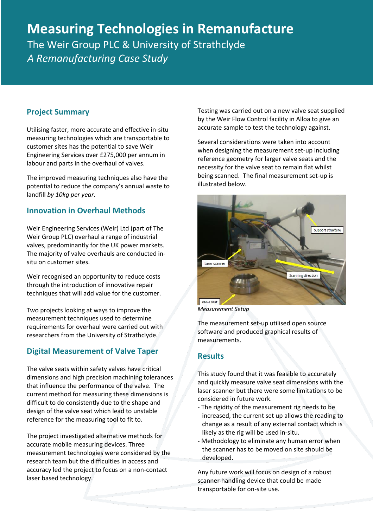# **Measuring Technologies in Remanufacture** The Weir Group PLC & University of Strathclyde

*A Remanufacturing Case Study* 

## **Project Summary**

Utilising faster, more accurate and effective in-situ measuring technologies which are transportable to customer sites has the potential to save Weir Engineering Services over £275,000 per annum in labour and parts in the overhaul of valves.

The improved measuring techniques also have the potential to reduce the company's annual waste to landfill *by 10kg per year.*

### **Innovation in Overhaul Methods**

Weir Engineering Services (Weir) Ltd (part of The Weir Group PLC) overhaul a range of industrial valves, predominantly for the UK power markets. The majority of valve overhauls are conducted insitu on customer sites.

Weir recognised an opportunity to reduce costs through the introduction of innovative repair techniques that will add value for the customer.

Two projects looking at ways to improve the measurement techniques used to determine requirements for overhaul were carried out with researchers from the University of Strathclyde.

# **Digital Measurement of Valve Taper**

The valve seats within safety valves have critical dimensions and high precision machining tolerances that influence the performance of the valve. The current method for measuring these dimensions is difficult to do consistently due to the shape and design of the valve seat which lead to unstable reference for the measuring tool to fit to.

The project investigated alternative methods for accurate mobile measuring devices. Three measurement technologies were considered by the research team but the difficulties in access and accuracy led the project to focus on a non-contact laser based technology.

Testing was carried out on a new valve seat supplied by the Weir Flow Control facility in Alloa to give an accurate sample to test the technology against.

Several considerations were taken into account when designing the measurement set-up including reference geometry for larger valve seats and the necessity for the valve seat to remain flat whilst being scanned. The final measurement set-up is illustrated below.



*Measurement Setup*

The measurement set-up utilised open source software and produced graphical results of measurements.

#### **Results**

This study found that it was feasible to accurately and quickly measure valve seat dimensions with the laser scanner but there were some limitations to be considered in future work.

- The rigidity of the measurement rig needs to be increased, the current set up allows the reading to change as a result of any external contact which is likely as the rig will be used in-situ.
- Methodology to eliminate any human error when the scanner has to be moved on site should be developed.

Any future work will focus on design of a robust scanner handling device that could be made transportable for on-site use.